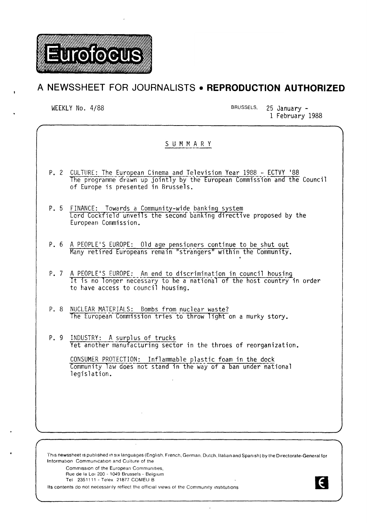

# **A NEWSSHEET FOR JOURNALISTS • REPRODUCTION AUTHORIZED**

WEEKLY No. 4/88 BRUSSELS, 25 January -1 February 1988

N.

|                                                                                                                                                                                                                                                                                                                   | SUMMARY                                                                                                                                                                                                                                                 |
|-------------------------------------------------------------------------------------------------------------------------------------------------------------------------------------------------------------------------------------------------------------------------------------------------------------------|---------------------------------------------------------------------------------------------------------------------------------------------------------------------------------------------------------------------------------------------------------|
|                                                                                                                                                                                                                                                                                                                   | P. 2 CULTURE: The European Cinema and Television Year 1988 - ECTVY '88<br>The programme drawn up jointly by the European Commission and the Council<br>of Europe is presented in Brussels.                                                              |
|                                                                                                                                                                                                                                                                                                                   | P. 5 FINANCE: Towards a Community-wide banking system<br>Lord Cockfield unveils the second banking directive proposed by the<br>European Commission.                                                                                                    |
|                                                                                                                                                                                                                                                                                                                   | P. 6 A PEOPLE'S EUROPE: Old age pensioners continue to be shut out<br>Many retired Europeans remain "strangers" within the Community.                                                                                                                   |
|                                                                                                                                                                                                                                                                                                                   | P. 7 A PEOPLE'S EUROPE: An end to discrimination in council housing<br>It is no longer necessary to be a national of the host country in order<br>to have access to council housing.                                                                    |
|                                                                                                                                                                                                                                                                                                                   | P. 8 NUCLEAR MATERIALS: Bombs from nuclear waste?<br>The European Commission tries to throw light on a murky story.                                                                                                                                     |
|                                                                                                                                                                                                                                                                                                                   | P. 9 INDUSTRY: A surplus of trucks<br>Yet another manufacturing sector in the throes of reorganization.<br>CONSUMER PROTECTION: Inflammable plastic foam in the dock<br>Community law does not stand in the way of a ban under national<br>legislation. |
|                                                                                                                                                                                                                                                                                                                   |                                                                                                                                                                                                                                                         |
| This newssheet is published in six languages (English, French, German, Dutch, Italian and Spanish) by the Directorate-General for<br>Information: Communication and Culture of the<br>Commission of the European Communities.<br>Rue de la Loi 200 - 1049 Brussels - Belgium<br>Tel 2351111 - Telex 21877 COMEU B |                                                                                                                                                                                                                                                         |

Its contents do not necessarily reflect the official views of the Community institutions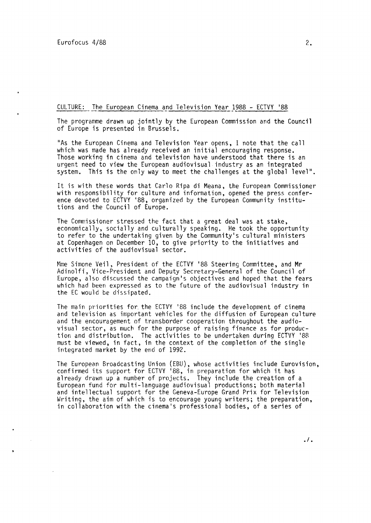## CULTURE: The European Cinema and Television Year 1988 - ECTVY '88

The programme drawn up jointly by the European Commission and the Council of Europe is presented in Brussels.

"As the European Cinema and Television Year opens, I note that the call which was made has already received an initial encouraging response. Those working in cinema and television have understood that there is an urgent need to view the European audiovisual industry as an integrated system. This is the only way to meet the challenges at the global level".

It is with these words that Carlo Ripa di Meana, the Furopean Commissioner with responsibility for culture and information, opened the press conference devoted to ECTVY '88, organized by the European Community institutions and the Council of Europe.

The Commissioner stressed the fact that a great deal was at stake, economically, socially and culturally speaking. He took the opportunity to refer to the undertaking given by the Community's cultural ministers at Copenhagen on December 10, to give priority to the initiatives and activities of the audiovisual sector.

Mme Simone Veil, President of the ECTVY '88 Steering Committee, and Mr Adinolfi, Vice-President and Deputy Secretary-General of the Council of Europe, also discussed the campaign's objectives and hoped that the fears which had been expressed as to the future of the audiovisual industry in the EC would be dissipated.

The main priorities for the ECTVY '88 include the development of cinema and television as important vehicles for the diffusion of European culture and the encouragement of transborder cooperation throughout the audiovisual sector, as much for the purpose of raising finance as for production and distribution. The activities to be undertaken during ECTVY '88 must be viewed, in fact, in the context of the completion of the single integrated market by the end of 1992.

The European Broadcasting Union (EBU), whose activities include Eurovision, confirmed its support for ECTVY '88, in preparation for which it has already drawn up a number of projects. They include the creation of a European fund for multi-language audiovisual productions; both material and intellectual support for the Geneva-Europe Grand Prix for Television Writing, the aim of which is to encourage young writers; the preparation, in collaboration with the cinema's professional bodies, of a series of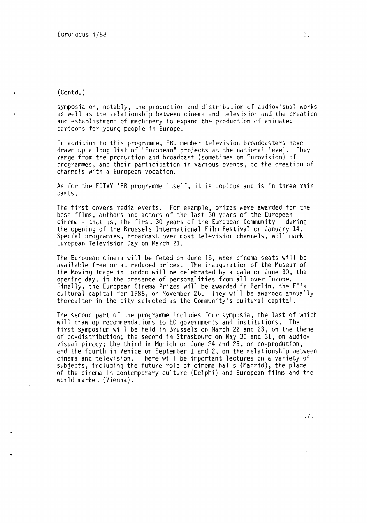(Contd.)

symposia on, notably, the production and distribution of audiovisual works as well as the relationship between cinema and television and the creation and establishment of machinery to expand the production of animated cartoons for young people in Europe.

In addition to this programme, EBU member television broadcasters have drawn up a long list of "European" projects at the national level. They range from the production and broadcast (sometimes on Eurovision) of programmes, and their participation in various events, to the creation of channels with a European vocation.

As for the ECTVY '88 programme itself, it is copious and is in three main parts.

The first covers media events. For example, prizes were awarded for the best films, authors and actors of the last 30 years of the European cinema - that is, the first 30 years of the European Community - during the opening of the Brussels International Film Festival on January 14. Special programmes, broadcast over most television channels, will mark European Television Day on March 21.

The European cinema will be feted on June 16, when cinema seats will be available free or at reduced prices. The inauguration of the Museum of the Moving Image in London will be celebrated by a gala on June 30, the opening day, in the presence of personalities from all over Europe. Finally, the European Cinema Prizes will be awarded in Berlin, the EC's cultural capital for 1988, on November 26. They will be awarded annually thereafter in the city selected as the Community's cultural capital.

The second part of the programme includes four symposia, the last of which will draw up recommendations to EC governments and institutions. The first symposium will be held in Brussels on March 22 and 23, on the theme of co-distribution; the second in Strasbourg on May 30 and 31, on audiovisual piracy; the third in Munich on June 24 and 25, on co-prodution, and the fourth in Venice on September 1 and 2, on the relationship between cinema and television. There will be important lectures on a variety of subjects, including the future role of cinema halls (Madrid), the place of the cinema in contemporary culture (Delphi) and European films and the world market (Vienna).

 $.1.$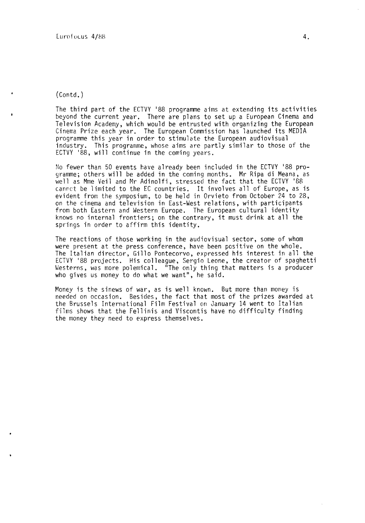(Contd.)

The third part of the ECTVY '88 programme aims at extending its activities beyond the current year. There are plans to set up a European Cinema and Television Academy, which would be entrusted with organizing the European Cinema Prize each year. The European Commission has launched its MEDIA programme this year in order to stimulate the European audiovisual industry. This programme, whose aims are partly similar to those of the ECTVY '88, will continue in the coming years.

No fewer than 50 events have already been included in the ECTVY '88 programme; others will be added in the coming months. Mr Ripa di Meana, as well as Mme Veil and Mr Adinolfi, stressed the fact that the ECTVY '88 canrct be limited to the EC countries. It involves all of Europe, as is evident from the symposium, to be held in Orvieto from October 24 to 28, on the cinema and television in East-West relations, with participants from both Eastern and Western Europe. The European cultural identity knows no internal frontiers; on the contrary, it must drink at all the springs in order to affirm this identity.

The reactions of those working in the audiovisual sector, some of whom were present at the press conference, have been positive on the whole. The Italian director, Gillo Pontecorvo, expressed his interest in all the ECTVY '88 projects. His colleague, Sergio Leone, the creator of spaghetti Westerns, was more polemical. "The only thing that matters is a producer who gives us money to do what we want", he said.

Money is the sinews of war, as is well known. But more than *money* is needed on occasion. Besides, the fact that most of the prizes awarded at the Brussels International Film Festival on January 14 went to Italian films shows that the Fellinis and Viscontis have no difficulty finding the money they need to express themselves.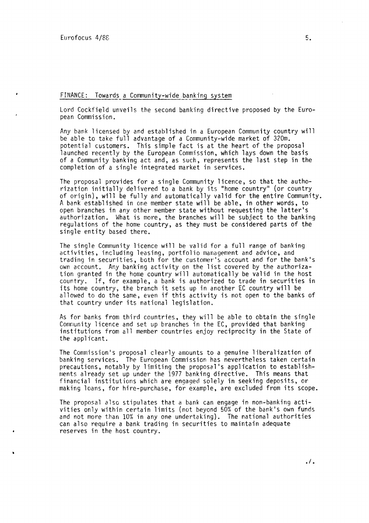## FINANCE: Towards a Community-wide banking system

Lord Cockfield unveils the second banking directive proposed by the European Commission.

Any bank licensed by and established in a European Community country will be able to take full advantage of a Community-wide market of 320m. potential customers. This simple fact is at the heart of the proposal launched recently by the European Commission, which lays down the basis of a Community banking act and, as such, represents the last step in the completion of a single integrated market in services.

The proposal provides for a single Community licence, so that the authorization initially delivered to a bank by its "home country" (or country of origin), will be fully and automatically valid for the entire Community. A bank established in one member state will be able, in other words, to open branches in any other member state without requesting the latter's authorization. What is more, the branches will be subject to the banking regulations of the home country, as they must be considered parts of the single entity based there.

The single Community licence will be valid for a full range of banking activities, including leasing, portfolio management and advice, and trading in securities, both for the customer's account and for the bank's own account. Any banking activity on the list covered by the authorization granted in the home country will automatically be valid in the host country. If, for example, a bank is authorized to trade in securities in its home country, the branch it sets up in another EC country will be allowed to do the same, even if this activity is not open to the banks of that country under its national legislation.

As for banks from third countries, they will be able to obtain the single Community licence and set up branches in the EC, provided that banking institutions from all member countries enjoy reciprocity in the State of the applicant.

The Commission's proposal clearly amounts to a genuine liberalization of banking services. The European Commission has nevertheless taken certain precautions, notably by limiting the proposal's application to establishments already set up under the 1977 banking directive. This means that financial institutions which are engaged solely in seeking deposits, or making loans, for hire-purchase, for example, are excluded from its scope.

The proposal also stipulates that a bank can engage in non-banking activities only within certain limits (not beyond 50% of the bank's own funds and not more than 10% in any one undertaking). The national authorities can also require a bank trading in securities to maintain adequate reserves in the host country.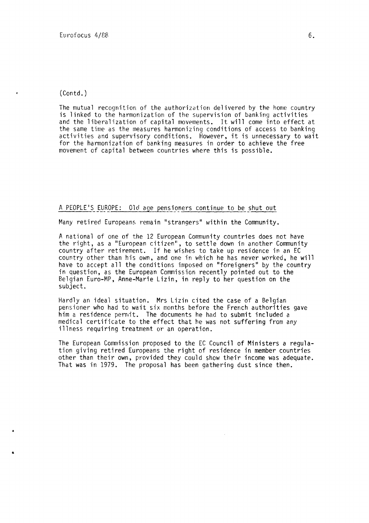(Contd.)

The mutual recognition of the authorization delivered by the home country is linked to the harmonization of the supervision of banking activities and the liberalization of capital movements. It will come into effect at the same time as the measures harmonizing conditions of access to banking activities and supervisory conditions. However, it is unnecessary to wait for the harmonization of banking measures in order to achieve the free movement of capital between countries where this is possible.

## A PEOPLE'S EUROPE: Old age pensioners continue to be shut out

Many retired Europeans remain "strangers" within the Community.

A national of one of the 12 European Community countries does not have the right, as a "European citizen", to settle down in another Community country after retirement. If he wishes to take up residence in an EC country other than his own, and one in which he has never worked, he will have to accept all the conditions imposed on "foreigners" by the country in question, as the European Commission recently pointed out to the Belgian Euro-MP, Anne-Marie Lizin, in reply to her question on the subject.

Hardly an ideal situation. Mrs Lizin cited the case of a Belgian pensioner who had to wait six months before the French authorities gave him a residence permit. The documents he had to submit included a medical certificate to the effect that he was not suffering from any illness requiring treatment or an operation.

The European Commission proposed to the EC Council of Ministers a regulation giving retired Europeans the right of residence in member countries other than their own, provided they could show their income was adequate. That was in 1979. The proposal has been gathering dust since then.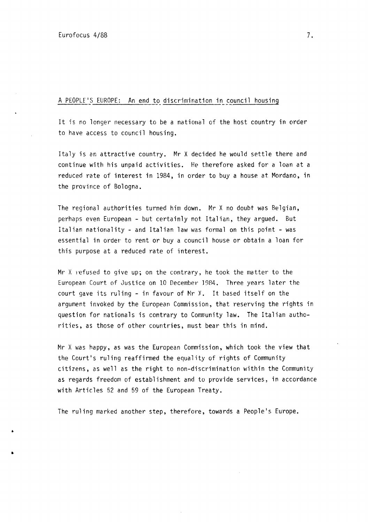•

•

## A PEOPLE'S EUROPE: An end to discrimination in council housing

It is no longer necessary to be a national of the host country in order to have access to council housing.

Italy is an attractive country. Mr X decided he would settle there and continue with his unpaid activities. He therefore asked for a loan at a reduced rate of interest in 1984, in order to buy a house at Mordano, in the province of Bologna.

The regional authorities turned him down. Mr X no doubt was Belgian, perhaps even European - but certainly not Italian, they argued. But Italian nationality- and Italian law was formal on this point- was essential in order to rent or buy a council house or obtain a loan for this purpose at a reduced rate of interest.

Mr X refused to give up; on the contrary, he took the matter to the European Court of Justice on 10 December 1984. Three years later the court gave its ruling - in favour of Mr X. It based itself on the argument invoked by the European Commission, that reserving the rights in question for nationals is contrary to Community law. The Italian authorities, as those of other countries, must bear this in mind.

Mr X was happy, as was the European Commission, which took the view that the Court's ruling reaffirmed the equality of rights of Community citizens, as well as the right to non-discrimination within the Community as regards freedom of establishment and to provide services, in accordance with Articles 52 and 59 of the European Treaty.

The ruling marked another step, therefore, towards a People's Europe.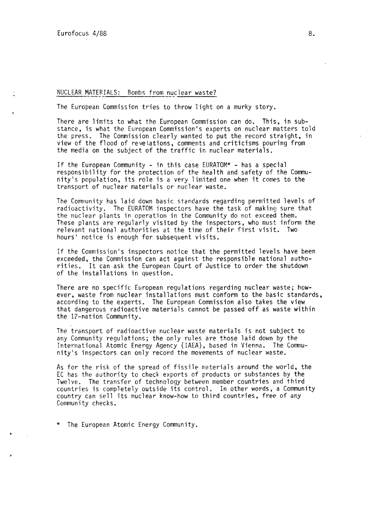#### NUCLEAR MATERIALS: Bombs from nuclear waste?

The European Commission tries to throw light on a murky story.

There are limits to what the European Commission can do. This, in substance, is what the European Commission's experts on nuclear matters told the press. The Commission clearly wanted to put the record straight, in view of the flood of revelations, comments and criticisms pouring from the media on the subject of the traffic in nuclear materials.

If the European Community - in this case EURATOM\* - has a special responsibility for the protection of the health and safety of the Community's population, its role is a very limited one when it comes to the transport of nuclear materials or nuclear waste.

The Community has laid down basic standards regarding permitted levels of radioactivity. The EURATOM inspectors have the task of making sure that the nuclear plants in operation in the Community do not exceed them. These plants are regularly visited by the inspectors, who must inform the relevant national authorities at the time of their first visit. Two hours' notice is enough for subsequent visits.

If the Commission's inspectors notice that the permitted levels have been exceeded, the Commission can act against the responsible national authorities. It can ask the European Court of Justice to order the shutdown of the installations in question.

There are no specific European regulations regarding nuclear waste; however, waste from nuclear installations must conform to the basic standards, according to the experts. The European Commission also takes the view that dangerous radioactive materials cannot be passed off as waste within the 12-nation Community.

The transport of radioactive nuclear waste materials is not subject to any Community regulations; the only rules are those laid down by the International Atomic Energy Agency (IAEA), based in Vienna. The Community's inspectors can only record the movements of nuclear waste.

As for the risk of the spread of fissile materials around the world, the EC has the authority to check exports of products or substances by the Twelve. The transfer of technology between member countries and third countries is completely outside its control. In other words, a Community country can sell its nuclear know-how to third countries, free of any Community checks.

\* The European Atomic Energy Community.